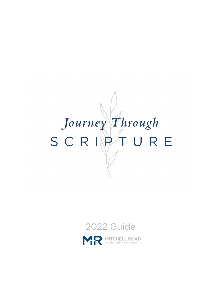# Journey Through SCRIPT **RE**



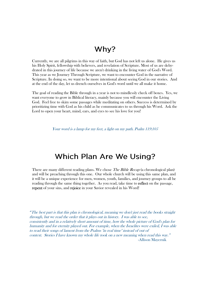#### Why?

Currently, we are all pilgrims in this way of faith, but God has not left us alone. He gives us his Holy Spirit, fellowship with believers, and revelation of Scripture. Most of us are dehydrated in this journey of life because we aren't drinking in the living water of God's Word. This year as we Journey Through Scripture, we want to encounter God in the narrative of Scripture. In doing so, we want to be more intentional about seeing God in our stories. And at the end of the day, let us drench ourselves in God's word until we all make it home.

The goal of reading the Bible through in a year is not to mindlessly check off boxes. Yes, we want everyone to grow in Biblical literacy, mainly because you will encounter the Living God. Feel free to skim some passages while meditating on others. Success is determined by prioritizing time with God as his child as he communicates to us through his Word. Ask the Lord to open your heart, mind, ears, and eyes to see his love for you!

Your word is a lamp for my feet, a light on my path. Psalm 119:105

#### **Which Plan Are We Using?**

There are many different reading plans. We chose *The Bible Recap* (a chronological plan) and will be preaching through this one. Our whole church will be using this same plan, and it will be a unique experience for men, women, youth, families, and journey groups to all be reading through the same thing together. As you read, take time to reflect on the passage, repent of your sins, and rejoice in your Savior revealed in his Word!

͞The best part is that this plan is chronological, meaning we don't just read the books straight through, but we read the order that it plays out in history. I was able to see, consistently and in a relatively short amount of time, how the whole picture of God's plan for humanity and for eternity played out. For example, when the Israelites were exiled, I was able to read their songs of lament from the Psalms "in real time" instead of out of context. Stories I have known my whole life took on a new meaning when read this way." -Allison Mayernik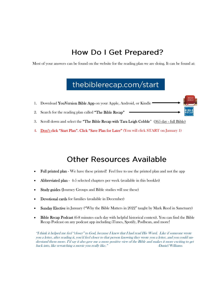## How Do I Get Prepared?

Most of your answers can be found on the website for the reading plan we are doing. It can be found at:

## thebiblerecap.com/start

- 1. Download YouVersion Bible App on your Apple, Android, or Kindle .
- 2. Search for the reading plan called "The Bible Recap"
- 3. Scroll down and select the "The Bible Recap with Tara Leigh Cobble" (365 day full Bible)
- 4. Don't click "Start Plan". Click "Save Plan for Later" (You will click START on January 1)

### **Other Resources Available**

- Full printed plan We have these printed! Feel free to use the printed plan and not the app
- Abbreviated plan 4-5 selected chapters per week (available in this booklet)
- Study guides (Journey Groups and Bible studies will use these)
- Devotional cards for families (available in December)
- **Sunday Elective** in January ("Why the Bible Matters in 2022" taught by Mark Reed in Sanctuary)
- Bible Recap Podcast (6-8 minutes each day with helpful historical context). You can find the Bible Recap Podcast on any podcast app including iTunes, Spotify, Podbean, and more!

"I think it helped me feel "closer" to God, because I knew that I had read His Word. Like if someone wrote you a letter, after reading it, you'd feel closer to that person knowing they wrote you a letter, and you could understand them more. I'd say it also gave me a more positive view of the Bible and makes it more exciting to get back into, like rewatching a movie you really like."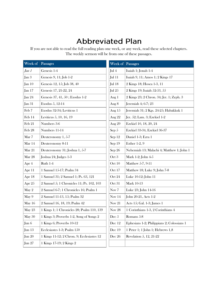# **Abbreviated Plan**

If you are not able to read the full reading plan one week, or any week, read these selected chapters. The weekly sermon will be from one of these passages.

| Week of  | Passages                                   | <b>Week of Passages</b> |                                            |
|----------|--------------------------------------------|-------------------------|--------------------------------------------|
| Jan 1    | Genesis 1-4                                | Jul 4                   | Isaiah 1; Jonah 1-4                        |
| Jan 3    | Genesis 9, 11; Job 1-2                     | $Jul$ 11                | Isaiah 9, 11; Amos 1; 2 Kings 17           |
| Jan 10   | Genesis 12, 15; Job 38, 40                 | Jul 18                  | 2 Kings 18; Hosea 1-3, 11                  |
| Jan 17   | Genesis 17, 21-22, 24                      | Jul $25$                | 2 Kings 19; Isaiah 52-53, 55               |
| Jan 24   | Genesis 37, 41, 50; Exodus 1-2             | Aug 1                   | 2 Kings 23; 2 Chron. 34; Jer. 1; Zeph. 3   |
| Jan 31   | Exodus 5, 12-14                            | Aug 8                   | Jeremiah 4; 6-7; 23                        |
| Feb 7    | Exodus 32-34; Leviticus 1                  | Aug 15                  | Jeremiah 31; 2 Kgs. 24-25; Habakkuk 1      |
| Feb 14   | Leviticus 5, 10, 16, 19                    | Aug 22                  | Jer. 52; Lam. 3; Ezekiel 1-2               |
| Feb 21   | Numbers 3-6                                | Aug 29                  | Ezekiel 10, 18, 20, 24                     |
| Feb 28   | Numbers 11-14                              | Sep 5                   | Ezekiel 33-34, Ezekiel 36-37               |
| Mar 7    | Deuteronomy 1, 5-7                         | Sep 12                  | Daniel 1-3; Ezra 1                         |
| Mar 14   | Deuteronomy 8-11                           | Sep 19                  | Esther 1-2, 9                              |
| Mar 21   | Deuteronomy 31; Joshua 1, 5-7              | Sep 26                  | Nehemiah 13; Malachi 4; Matthew 1; John 1  |
| Mar 28   | Joshua 24; Judges 1-3                      | Oct 3                   | Mark 1-2; John 4-5                         |
| Apr 4    | Ruth 1-4                                   | Oct 10                  | Matthew 5-7, 9-11                          |
| Apr 11   | 1 Samuel 15-17; Psalm 34                   | Oct 17                  | Matthew 18; Luke 9; John 7-8               |
| Apr 18   | 1 Samuel 31; 2 Samuel 1; Ps. 63, 121       | Oct 24                  | Luke 10-12; John 11                        |
| Apr 25   | 2 Samuel 5; 1 Chronicles 11; Ps. 102, 103  | Oct 31                  | <b>Mark 10-13</b>                          |
| May 2    | 2 Samuel 6-7; 1 Chronicles 16; Psalm 1     | Nov 7                   | Luke 23; John 14-16                        |
| May 9    | 2 Samuel 11-13, 15; Psalm 32               | Nov 14                  | John 20-21, Acts 1-2                       |
| May 16   | 2 Samuel 16, 18, 19; Psalm 42              | Nov 21                  | Acts 15; Gal. 1-3; James 1                 |
| May 23   | 1 Kings 1; 1 Chronicles 28; Psalm 110, 139 | Nov <sub>28</sub>       | 1 Corinthians 1-3, 2 Corinthians 4         |
| May 30   | 1 Kings 3; Proverbs 1-2, Song of Songs 2   | Dec $5$                 | Romans 5-8                                 |
| Jun 6    | 1 Kings 6; Proverbs 10-12                  | Dec 12                  | Ephesians 1-2; Philippians 2; Colossians 1 |
| Jun $13$ | Ecclesiastes 1-3; Psalm 150                | Dec 19                  | 1 Peter 1; 1 John 1; Hebrews 1,8           |
| Jun 20   | 1 Kings 11-12; 2 Chron. 9; Ecclesiastes 12 | Dec 26                  | Revelation 5, 12, 21-22                    |
| Jun 27   | 1 Kings 17-19; 2 Kings 2                   |                         |                                            |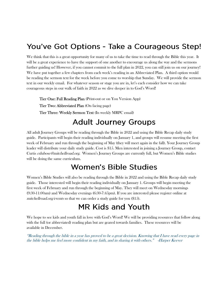## You've Got Options - Take a Courageous Step!

We think that this is a great opportunity for many of us to take the time to read through the Bible this year. It will be a great experience to have the support of one another to encourage us along the way and the sermons further guiding us! However, if you cannot commit to the full plan in 2022, you can still join us on our journey! We have put together a few chapters from each week's reading in an Abbreviated Plan. A third option would be reading the sermon text for the week before you come to worship that Sunday. We will provide the sermon text in our weekly email. For whatever season or stage you are in, let's each consider how we can take courageous steps in our walk of faith in 2022 as we dive deeper in to God's Word!

Tier One: Full Reading Plan (Print-out or on You Version App) Tier Two: Abbreviated Plan (On facing page) Tier Three: Weekly Sermon Text (In weekly MRPC email)

#### **Adult Journey Groups**

All adult Journey Groups will be reading through the Bible in 2022 and using the Bible Recap daily study guide. Participants will begin their reading individually on January 1, and groups will resume meeting the first week of February and run through the beginning of May (they will meet again in the fall). Your Journey Group leader will distribute your daily study guide. Cost is \$15. Men interested in joining a Journey Group, contact Curtis cdubose@mitchellroad.org. Women's Journey Groups are currently full, but Women's Bible studies will be doing the same curriculum.

## **Women's Bible Studies**

Women's Bible Studies will also be reading through the Bible in 2022 and using the Bible Recap daily study guide. Those interested will begin their reading individually on January 1. Groups will begin meeting the first week of February and run through the beginning of May. They will meet on Wednesday mornings (9:30-11:00am) and Wednesday evenings (6:30-7:45pm). If you are interested please register online at mitchellroad.org/events so that we can order a study guide for you (\$15).

## **MR Kids and Youth**

We hope to see kids and youth fall in love with God's Word! We will be providing resources that follow along with the full (or abbreviated) reading plan but are geared towards families. These resources will be available in December.

"Reading through the bible in a year has proved to be a great decision. Knowing that I have read every page in the bible helps me feel more confident in my faith, and in sharing it with others." -Harper Keever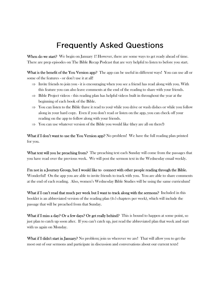## **Frequently Asked Questions**

When do we start? We begin on January 1! However, there are some ways to get ready ahead of time. There are prep episodes on The Bible Recap Podcast that are very helpful to listen to before you start.

What is the benefit of the You Version app? The app can be useful in different ways! You can use all or some of the features - or don't use it at all!

- $\Rightarrow$  Invite friends to join you it is encouraging when you see a friend has read along with you. With this feature you can also leave comments at the end of the reading to share with your friends.
- $\Rightarrow$  Bible Project videos this reading plan has helpful videos built in throughout the year at the beginning of each book of the Bible.
- $\Rightarrow$  You can listen to the Bible (have it read to you) while you drive or wash dishes or while you follow along in your hard copy. Even if you don't read or listen on the app, you can check off your reading on the app to follow along with your friends.
- $\Rightarrow$  You can use whatever version of the Bible you would like (they are all on there!)

What if I don't want to use the You Version app? No problem! We have the full reading plan printed for you.

What text will you be preaching from? The preaching text each Sunday will come from the passages that you have read over the previous week. We will post the sermon text in the Wednesday email weekly.

I'm not in a Journey Group, but I would like to connect with other people reading through the Bible. Wonderful! On the app you are able to invite friends to track with you. You are able to share comments at the end of each reading. Also, women's Wednesday Bible Studies will be using the same curriculum!

What if I can't read that much per week but I want to track along with the sermons? Included in this booklet is an abbreviated version of the reading plan (4-5 chapters per week), which will include the passage that will be preached from that Sunday.

What if I miss a day? Or a few days? Or get really behind? This is bound to happen at some point, so just plan to catch up soon after. If you can't catch up, just read the abbreviated plan that week and start with us again on Monday.

What if I didn't start in January? No problem; join us wherever we are! That will allow you to get the most out of our sermons and participate in discussion and conversations about our current texts!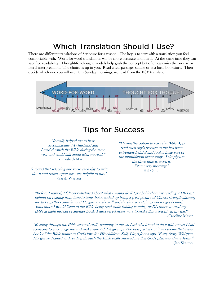## **Which Translation Should I Use?**

There are different translations of Scripture for a reason. The key is to start with a translation you feel comfortable with. Word-for-word translations will be more accurate and literal. At the same time they can sacrifice readability. Thought-for-thought models help grab the concept but often can miss the precise or literal interpretation. The choice is up to you. Read a few passages online or at a local bookstore. Then decide which one you will use. On Sunday mornings, we read from the ESV translation.



#### **Tips for Success**

"It really helped me to have accountability. My husband and I read through the Bible during the same year and could talk about what we read." -Elizabeth Martin

"I found that selecting one verse each day to write down and reflect upon was very helpful to me." -Sarah Warren

"Having the option to have the Bible App read each day's passage to me has been extremely helpful and took a huge part of the intimidation factor away. I simply use the drive time to work to listen every morning." -Hal Outen

"Before I started, I felt overwhelmed about what I would do if I got behind on my reading. I DID get behind on reading from time to time, but it ended up being a great picture of Christ's strength allowing me to keep this commitment! He gave me the will and the time to catch up when I got behind. Sometimes I would listen to the Bible being read while folding laundry, or I'd choose to read my Bible at night instead of another book. I discovered many ways to make this a priority in my day!" -Caroline Maser

"Reading through the Bible seemed really daunting to me, so I asked a friend to do it with me so I had someone to encourage me and make sure I didn't give up. The best part about it was seeing that every book of the Bible points to God's love for His children. Sally Lloyd Jones says, "Every Story Whispers His (Jesus) Name," and reading through the Bible really showed me that God's plan was always Jesus." -Jen Skelton